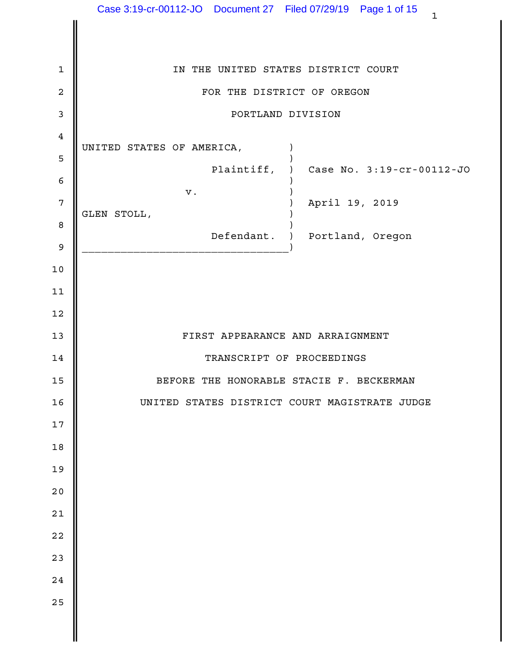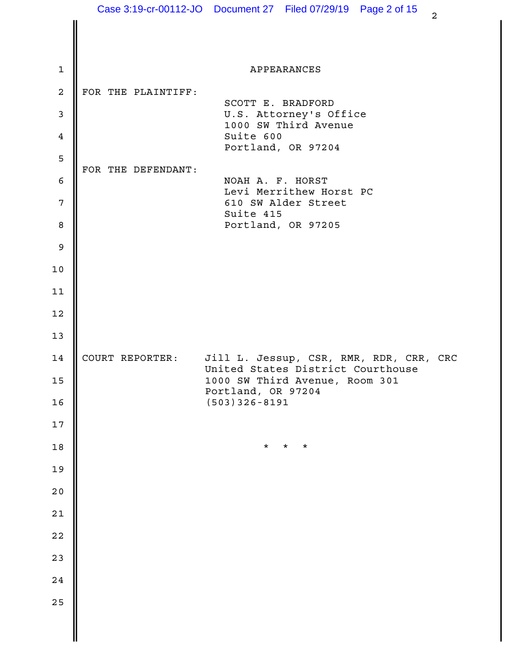|                  |                    | Case 3:19-cr-00112-JO  Document 27  Filed 07/29/19  Page 2 of 15<br>$\overline{a}$ |  |
|------------------|--------------------|------------------------------------------------------------------------------------|--|
|                  |                    |                                                                                    |  |
| $\mathbf{1}$     |                    | APPEARANCES                                                                        |  |
| $\boldsymbol{2}$ | FOR THE PLAINTIFF: |                                                                                    |  |
| $\mathsf 3$      |                    | SCOTT E. BRADFORD<br>U.S. Attorney's Office                                        |  |
| $\overline{4}$   |                    | 1000 SW Third Avenue<br>Suite 600                                                  |  |
| $\mathsf S$      |                    | Portland, OR 97204                                                                 |  |
| $\epsilon$       | FOR THE DEFENDANT: | NOAH A. F. HORST                                                                   |  |
| $7\phantom{.0}$  |                    | Levi Merrithew Horst PC<br>610 SW Alder Street                                     |  |
| 8                |                    | Suite 415<br>Portland, OR 97205                                                    |  |
| $\mathsf 9$      |                    |                                                                                    |  |
| 10               |                    |                                                                                    |  |
| 11               |                    |                                                                                    |  |
| 12               |                    |                                                                                    |  |
| 13               |                    |                                                                                    |  |
| 14               | COURT REPORTER:    | Jill L. Jessup, CSR, RMR, RDR, CRR, CRC                                            |  |
| 15               |                    | United States District Courthouse<br>1000 SW Third Avenue, Room 301                |  |
| 16               |                    | Portland, OR 97204<br>$(503)$ 326-8191                                             |  |
| $17$             |                    |                                                                                    |  |
| 18               |                    | $\star$<br>$^\star$<br>$^\star$                                                    |  |
| 19               |                    |                                                                                    |  |
| $20$             |                    |                                                                                    |  |
| $21$             |                    |                                                                                    |  |
| $2\,2$           |                    |                                                                                    |  |
| 23               |                    |                                                                                    |  |
| $2\,4$           |                    |                                                                                    |  |
| 25               |                    |                                                                                    |  |
|                  |                    |                                                                                    |  |
|                  |                    |                                                                                    |  |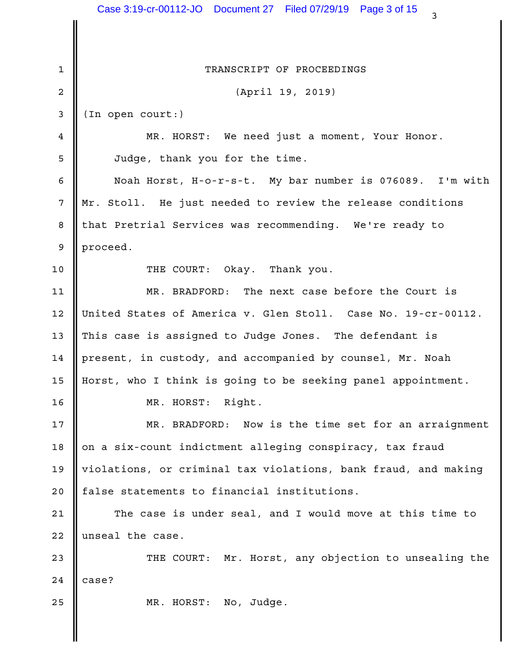|              | Case 3:19-cr-00112-JO  Document 27  Filed 07/29/19  Page 3 of 15<br>3 |  |
|--------------|-----------------------------------------------------------------------|--|
|              |                                                                       |  |
| $\mathbf{1}$ | TRANSCRIPT OF PROCEEDINGS                                             |  |
| 2            | (April 19, 2019)                                                      |  |
| 3            | (In open court:)                                                      |  |
| 4            | MR. HORST: We need just a moment, Your Honor.                         |  |
| 5            | Judge, thank you for the time.                                        |  |
| 6            | Noah Horst, H-o-r-s-t. My bar number is 076089. I'm with              |  |
| 7            | Mr. Stoll. He just needed to review the release conditions            |  |
| 8            | that Pretrial Services was recommending. We're ready to               |  |
| 9            | proceed.                                                              |  |
| 10           | THE COURT: Okay.<br>Thank you.                                        |  |
| 11           | MR. BRADFORD: The next case before the Court is                       |  |
| 12           | United States of America v. Glen Stoll. Case No. 19-cr-00112.         |  |
| 13           | This case is assigned to Judge Jones. The defendant is                |  |
| 14           | present, in custody, and accompanied by counsel, Mr. Noah             |  |
|              | 15    Horst, who I think is going to be seeking panel appointment.    |  |
| 16           | MR. HORST: Right.                                                     |  |
| 17           | MR. BRADFORD: Now is the time set for an arraignment                  |  |
| 18           | on a six-count indictment alleging conspiracy, tax fraud              |  |
| 19           | violations, or criminal tax violations, bank fraud, and making        |  |
| 20           | false statements to financial institutions.                           |  |
| 21           | The case is under seal, and I would move at this time to              |  |
| 22           | unseal the case.                                                      |  |
| 23           | THE COURT: Mr. Horst, any objection to unsealing the                  |  |
| 24           | case?                                                                 |  |
| 25           | MR. HORST: No, Judge.                                                 |  |
|              |                                                                       |  |
|              |                                                                       |  |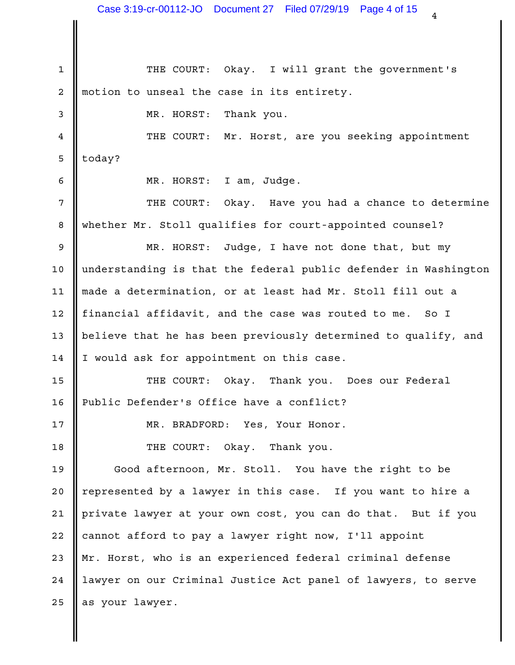1 || THE COURT: Okay. I will grant the government's 2 || motion to unseal the case in its entirety. Thank you. 4 || THE COURT: Mr. Horst, are you seeking appointment | today? 5 I am, Judge. Okay. Have you had a chance to determine whether Mr. Stoll qualifies for court-appointed counsel? 8 9 || MR. HORST: Judge, I have not done that, but my | 10 || understanding is that the federal public defender in Washington | 11 || made a determination, or at least had Mr. Stoll fill out a 12 || financial affidavit, and the case was routed to me. So I 13 || believe that he has been previously determined to qualify, and 14 I would ask for appointment on this case. 15 || THE COURT: Okay. Thank you. Does our Federal | 16 || Public Defender's Office have a conflict? MR. BRADFORD: Yes, Your Honor. 17 18 **II** THE COURT: Okay. Thank you. 19 || Good afternoon, Mr. Stoll. You have the right to be 20 || represented by a lawyer in this case. If you want to hire a 21 || private lawyer at your own cost, you can do that. But if you 22 || cannot afford to pay a lawyer right now, I'll appoint 23 || Mr. Horst, who is an experienced federal criminal defense 24 || lawyer on our Criminal Justice Act panel of lawyers, to serve 25 as your lawyer.  $3 \parallel$  MR. HORST: 6 || MR. HORST: 7 || THE COURT: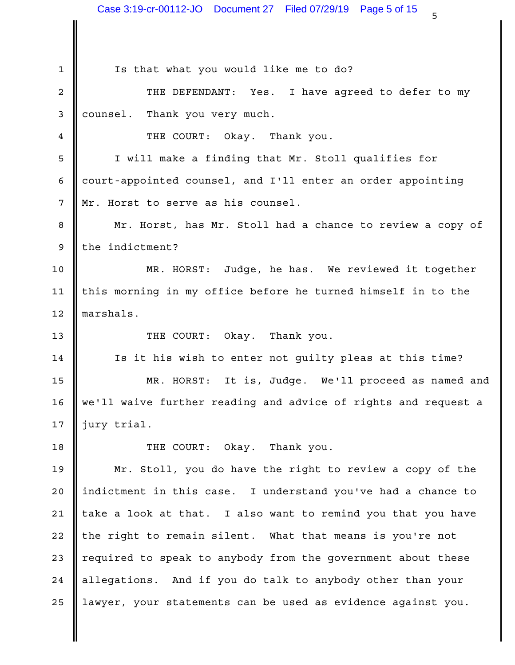1 Is that what you would like me to do? 2 || THE DEFENDANT: Yes. I have agreed to defer to my | 3 || counsel. Thank you very much. THE COURT: Okay. Thank you. 4 5 || I will make a finding that Mr. Stoll qualifies for | 6 || court-appointed counsel, and I'll enter an order appointing 7 || Mr. Horst to serve as his counsel. 8 || Mr. Horst, has Mr. Stoll had a chance to review a copy of || 9 || the indictment? MR. HORST: Judge, he has. We reviewed it together 10 11 || this morning in my office before he turned himself in to the 12 || marshals. 13 Number 13 Number 13 Number 2008. Thank you. 14 || Is it his wish to enter not guilty pleas at this time? | MR. HORST: It is, Judge. We'll proceed as named and 15 16 || we'll waive further reading and advice of rights and request a  $\qquad$  | 17  $\parallel$  jury trial. 18 **II** THE COURT: Okay. Thank you. Mr. Stoll, you do have the right to review a copy of the 19 20 || indictment in this case. I understand you've had a chance to the loss of 21 || take a look at that. I also want to remind you that you have 22 || the right to remain silent. What that means is you're not 23 || required to speak to anybody from the government about these 24 || allegations. And if you do talk to anybody other than your 25 || lawyer, your statements can be used as evidence against you.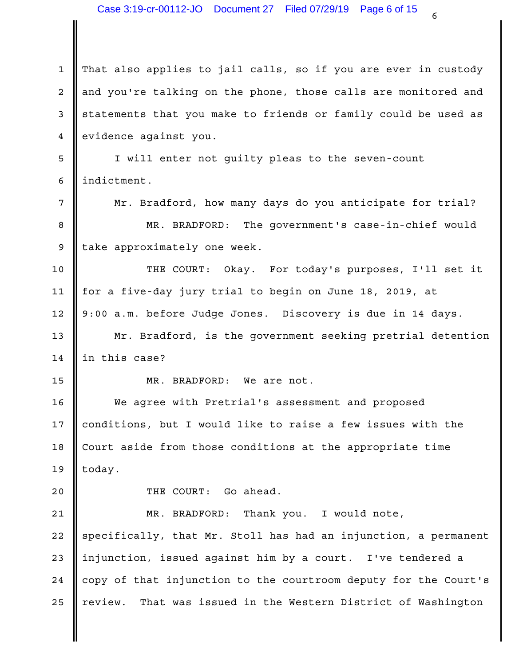1 || That also applies to jail calls, so if you are ever in custody | 2 || and you're talking on the phone, those calls are monitored and | 3 || statements that you make to friends or family could be used as 4 evidence against you. 5 || I will enter not guilty pleas to the seven-count 6 | indictment. 7 || Mr. Bradford, how many days do you anticipate for trial? | 8 || MR. BRADFORD: The government's case-in-chief would | 9 || take approximately one week. 10 || THE COURT: Okay. For today's purposes, I'll set it | 11 || for a five-day jury trial to begin on June 18, 2019, at 9:00 a.m. before Judge Jones. Discovery is due in 14 days. 12 13 || Mr. Bradford, is the government seeking pretrial detention |  $14$  | in this case? 15 || MR. BRADFORD: We are not. 16 || We agree with Pretrial's assessment and proposed | 17 || conditions, but I would like to raise a few issues with the 18 | Court aside from those conditions at the appropriate time 19 || today. 20 **I** THE COURT: Go ahead. 21 || MR. BRADFORD: Thank you. I would note, | 22 || specifically, that Mr. Stoll has had an injunction, a permanent | 23 || injunction, issued against him by a court. I've tendered a 24 | copy of that injunction to the courtroom deputy for the Court's | 25 || review. That was issued in the Western District of Washington |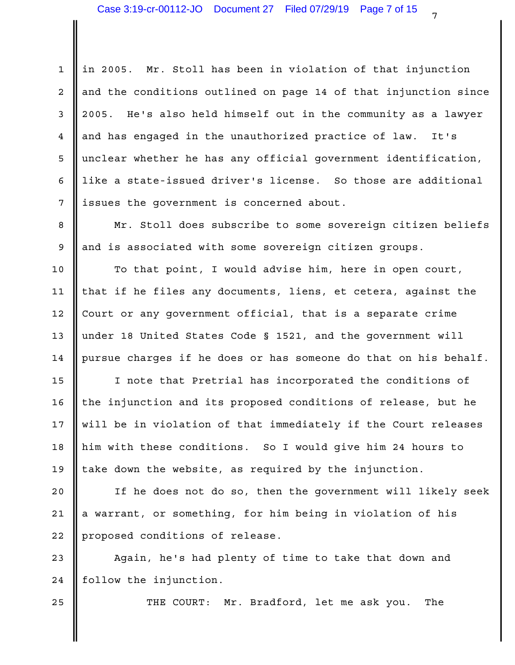1 || in 2005. Mr. Stoll has been in violation of that injunction 2 || and the conditions outlined on page 14 of that injunction since | 2005. He's also held himself out in the community as a lawyer 3 4 || and has engaged in the unauthorized practice of law. It's 5 || unclear whether he has any official government identification,  $\qquad \vert$ 6 || like a state-issued driver's license. So those are additional | 7 || issues the government is concerned about.

8 || Mr. Stoll does subscribe to some sovereign citizen beliefs || 9 || and is associated with some sovereign citizen groups.

10 || To that point, I would advise him, here in open court, | 11 || that if he files any documents, liens, et cetera, against the 12 || Court or any government official, that is a separate crime 13 under 18 United States Code § 1521, and the government will 14  $\parallel$  pursue charges if he does or has someone do that on his behalf.  $\parallel$ 

15 || I note that Pretrial has incorporated the conditions of 16 || the injunction and its proposed conditions of release, but he 17 || will be in violation of that immediately if the Court releases | 18 || him with these conditions. So I would give him 24 hours to 19 || take down the website, as required by the injunction.

20 || If he does not do so, then the government will likely seek | 21 || a warrant, or something, for him being in violation of his 22 | proposed conditions of release.

23 || Again, he's had plenty of time to take that down and | 24 | follow the injunction.

25  $\parallel$  THE COURT: Mr. Bradford, let me ask you. The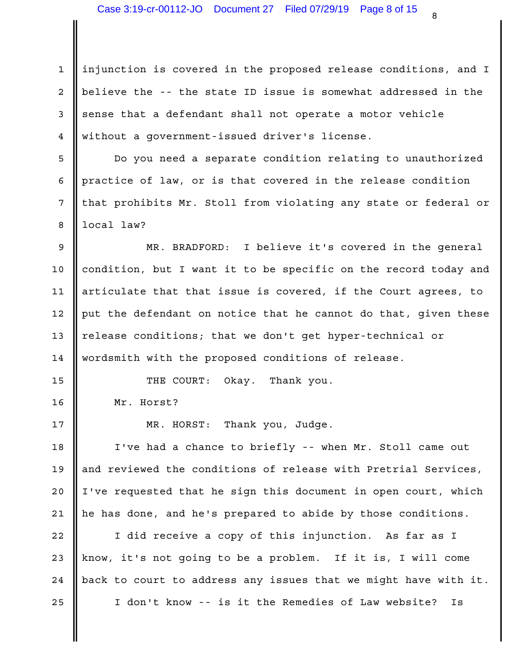1 || injunction is covered in the proposed release conditions, and I | 2 || believe the -- the state ID issue is somewhat addressed in the 3 sense that a defendant shall not operate a motor vehicle without a government-issued driver's license. 4

5 || Do you need a separate condition relating to unauthorized | 6 || practice of law, or is that covered in the release condition 7 || that prohibits Mr. Stoll from violating any state or federal or | 8 || local law?

MR. BRADFORD: I believe it's covered in the general 9 10  $\parallel$  condition, but I want it to be specific on the record today and  $\parallel$ 11  $\parallel$  articulate that that issue is covered, if the Court agrees, to  $\parallel$ 12  $\parallel$  put the defendant on notice that he cannot do that, given these  $\parallel$ 13 || release conditions; that we don't get hyper-technical or 14 || wordsmith with the proposed conditions of release.

THE COURT: Okay. Thank you. 15

Mr. Horst? 16

Thank you, Judge. 17 NR. HORST:

18 || I've had a chance to briefly -- when Mr. Stoll came out || 19 || and reviewed the conditions of release with Pretrial Services, I 20 || I've requested that he sign this document in open court, which | 21  $\parallel$  he has done, and he's prepared to abide by those conditions.

22 || I did receive a copy of this injunction. As far as I | 23 || know, it's not going to be a problem. If it is, I will come 24  $\parallel$  back to court to address any issues that we might have with it.  $\parallel$ 25 || I don't know -- is it the Remedies of Law website? Is |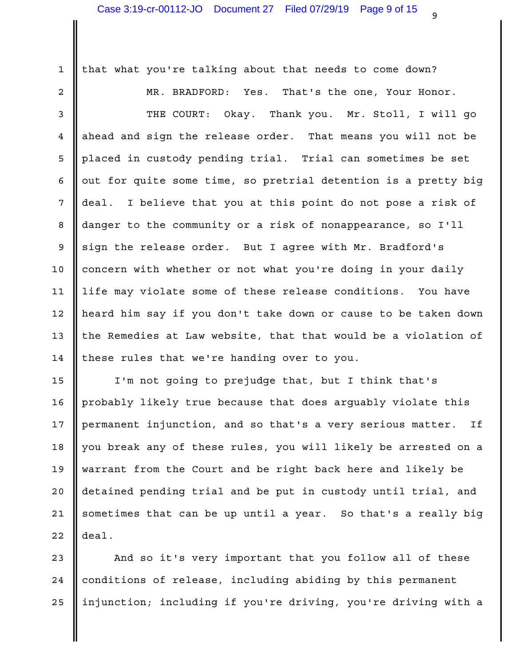1 || that what you're talking about that needs to come down?

That's the one, Your Honor. 3 || THE COURT: Okay. Thank you. Mr. Stoll, I will go 4 || ahead and sign the release order. That means you will not be 5 || placed in custody pending trial. Trial can sometimes be set 6  $\parallel$  out for quite some time, so pretrial detention is a pretty big  $\parallel$ 7 || deal. I believe that you at this point do not pose a risk of 8 || danger to the community or a risk of nonappearance, so I'll | 9 sign the release order. But I agree with Mr. Bradford's 10 || concern with whether or not what you're doing in your daily 11 || life may violate some of these release conditions. You have l heard him say if you don't take down or cause to be taken down 12 13  $\parallel$  the Remedies at Law website, that that would be a violation of  $\parallel$ 14 || these rules that we're handing over to you. 2 || MR. BRADFORD: Yes.

15 || I'm not going to prejudge that, but I think that's 16 || probably likely true because that does arguably violate this 17 || permanent injunction, and so that's a very serious matter. If 18 || you break any of these rules, you will likely be arrested on a  $\qquad$  | 19 || warrant from the Court and be right back here and likely be 20 || detained pending trial and be put in custody until trial, and | 21 || sometimes that can be up until a year. So that's a really big |  $22$  deal.

23 || And so it's very important that you follow all of these | 24 || conditions of release, including abiding by this permanent 25 || injunction; including if you're driving, you're driving with a  $\;$  |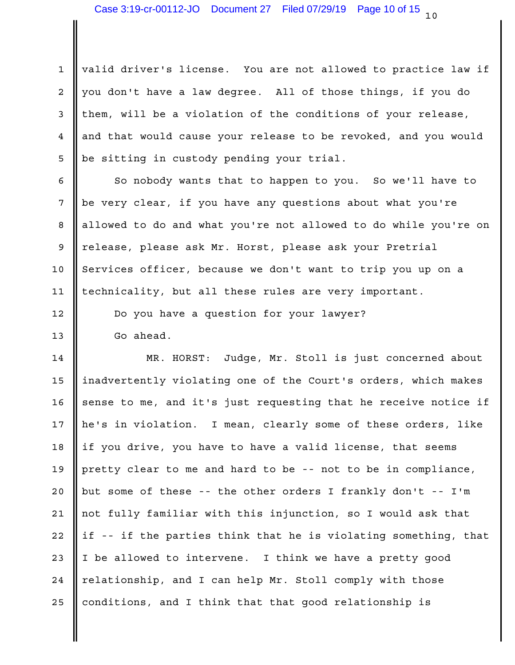1 || valid driver's license. You are not allowed to practice law if 2 || you don't have a law degree. All of those things, if you do |  $3$  | them, will be a violation of the conditions of your release,  $\qquad$ 4 || and that would cause your release to be revoked, and you would | 5 || be sitting in custody pending your trial.

So nobody wants that to happen to you. So we'll have to 6 7 || be very clear, if you have any questions about what you're 8 || allowed to do and what you're not allowed to do while you're on | 9 || release, please ask Mr. Horst, please ask your Pretrial | 10 Services officer, because we don't want to trip you up on a 11 || technicality, but all these rules are very important.

12 || Do you have a question for your lawyer?

13 Go ahead.

14 || MR. HORST: Judge, Mr. Stoll is just concerned about | 15 ||inadvertently violating one of the Court's orders, which makes | 16  $\parallel$  sense to me, and it's just requesting that he receive notice if  $\parallel$ 17 || he's in violation. I mean, clearly some of these orders, like | 18 || if you drive, you have to have a valid license, that seems | 19  $\parallel$  pretty clear to me and hard to be -- not to be in compliance, 20 || but some of these -- the other orders I frankly don't -- I'm 21 || not fully familiar with this injunction, so I would ask that 22  $\parallel$  if -- if the parties think that he is violating something, that  $\parallel$ 23 || I be allowed to intervene. I think we have a pretty good 24 || relationship, and I can help Mr. Stoll comply with those  $\qquad \qquad \mid$ 25 || conditions, and I think that that good relationship is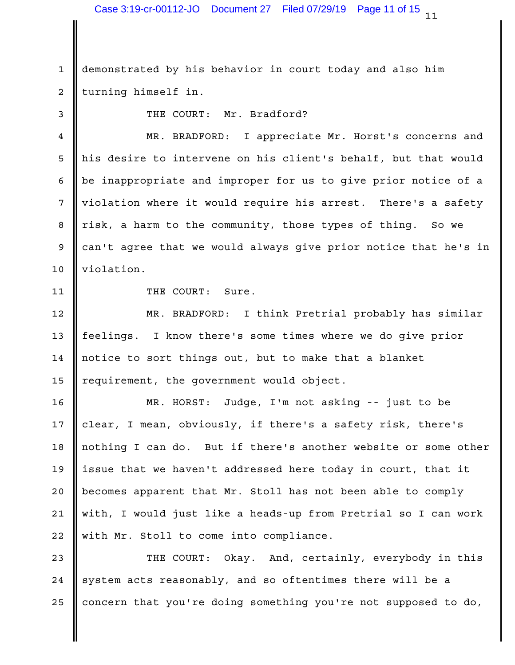$11$  . Case 3:19-cr-00112-JO Document 27 Filed 07/29/19 Page 11 of 15

1 demonstrated by his behavior in court today and also him 2 || turning himself in.

3 SOMETHE COURT: Mr. Bradford?

4 || MR. BRADFORD: I appreciate Mr. Horst's concerns and | 5 || his desire to intervene on his client's behalf, but that would | 6 || be inappropriate and improper for us to give prior notice of a 7 || violation where it would require his arrest. There's a safety | 8 || risk, a harm to the community, those types of thing. So we 9 can't agree that we would always give prior notice that he's in | 10 | violation.

11 || THE COURT: Sure.

12 || MR. BRADFORD: I think Pretrial probably has similar | 13 || feelings. I know there's some times where we do give prior 14 || notice to sort things out, but to make that a blanket 15 || requirement, the government would object.

MR. HORST: Judge, I'm not asking -- just to be 16 17 || clear, I mean, obviously, if there's a safety risk, there's || 18 || nothing I can do. But if there's another website or some other | 19 ||issue that we haven't addressed here today in court, that it 20 || becomes apparent that Mr. Stoll has not been able to comply less in the local metal of the local metal o 21 || with, I would just like a heads-up from Pretrial so I can work | 22 || with Mr. Stoll to come into compliance.

23 || THE COURT: Okay. And, certainly, everybody in this | 24  $\parallel$  system acts reasonably, and so oftentimes there will be a  $\parallel$ 25 | concern that you're doing something you're not supposed to do,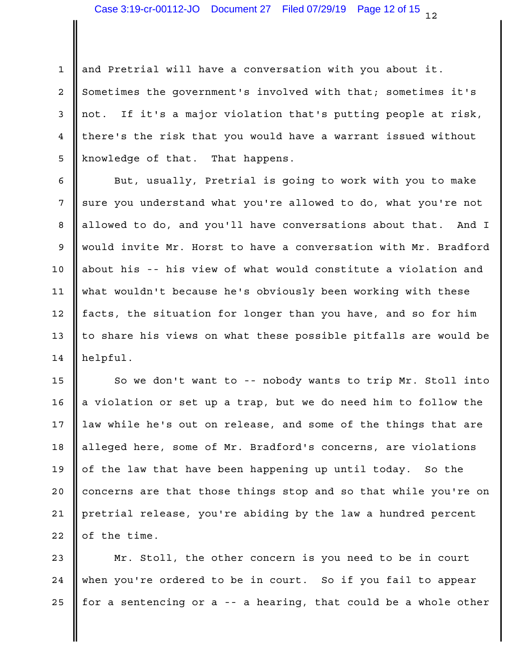1 and Pretrial will have a conversation with you about it. 2 Sometimes the government's involved with that; sometimes it's 3 || not. If it's a major violation that's putting people at risk, | 4 || there's the risk that you would have a warrant issued without 5 || knowledge of that. That happens.

6 || But, usually, Pretrial is going to work with you to make | 7 sure you understand what you're allowed to do, what you're not 8 || allowed to do, and you'll have conversations about that. And I | 9 || would invite Mr. Horst to have a conversation with Mr. Bradford | 10 || about his -- his view of what would constitute a violation and | 11 || what wouldn't because he's obviously been working with these | 12 || facts, the situation for longer than you have, and so for him 13  $\parallel$  to share his views on what these possible pitfalls are would be  $\parallel$ 14 || helpful.

15  $\parallel$  So we don't want to -- nobody wants to trip Mr. Stoll into  $\parallel$ 16  $\parallel$  a violation or set up a trap, but we do need him to follow the  $\parallel$ 17 || law while he's out on release, and some of the things that are | 18 || alleged here, some of Mr. Bradford's concerns, are violations || 19  $\parallel$  of the law that have been happening up until today. So the 20 || concerns are that those things stop and so that while you're on | 21 || pretrial release, you're abiding by the law a hundred percent  $22$  of the time.

23 || Mr. Stoll, the other concern is you need to be in court 24 || when you're ordered to be in court. So if you fail to appear | 25  $\parallel$  for a sentencing or a -- a hearing, that could be a whole other  $\parallel$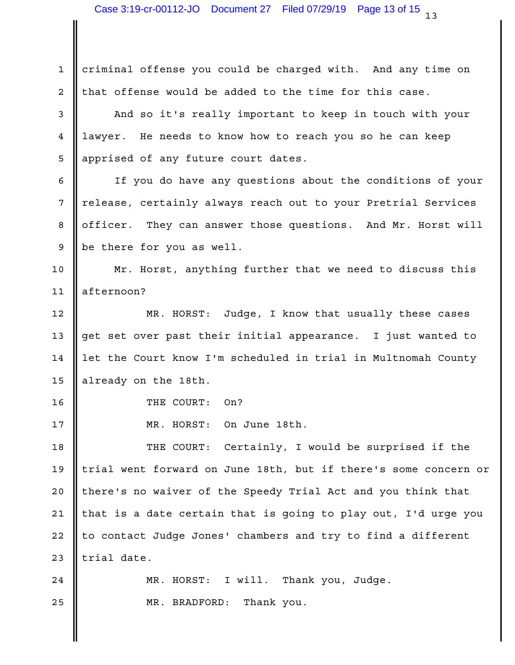1 criminal offense you could be charged with. And any time on  $2$  | that offense would be added to the time for this case.

3 || And so it's really important to keep in touch with your || 4 || lawyer. He needs to know how to reach you so he can keep state the loss of the loss 5 || apprised of any future court dates.

If you do have any questions about the conditions of your 6 7 || release, certainly always reach out to your Pretrial Services 8 || officer. They can answer those questions. And Mr. Horst will | 9 separator of the resource as well.

10 || Mr. Horst, anything further that we need to discuss this || 11 || afternoon?

12 || MR. HORST: Judge, I know that usually these cases | 13 || get set over past their initial appearance. I just wanted to  $\qquad \vert$ 14 || let the Court know I'm scheduled in trial in Multnomah County |  $15$  already on the 18th.

16 COURT: On?

17 || MR. HORST: On June 18th.

18 || THE COURT: Certainly, I would be surprised if the | 19 || trial went forward on June 18th, but if there's some concern or | 20 || there's no waiver of the Speedy Trial Act and you think that 21 || that is a date certain that is going to play out, I'd urge you | 22 || to contact Judge Jones' chambers and try to find a different 23  $\parallel$  trial date.

I will. Thank you, Judge. 25 **Case of STALE AND MR. BRADFORD:** Thank you.  $24$  || MR. HORST: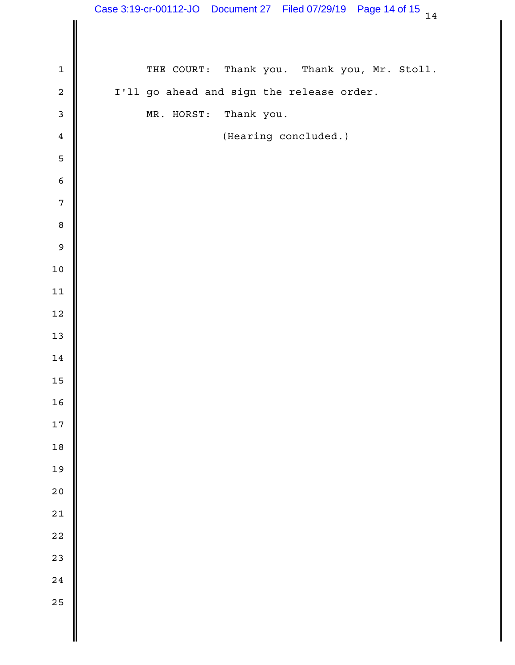|                | Case 3:19-cr-00112-JO Document 27 Filed 07/29/19 Page 14 of 15 14 |
|----------------|-------------------------------------------------------------------|
|                |                                                                   |
| $\mathbf{1}$   | Thank you. Thank you, Mr. Stoll.<br>THE COURT:                    |
| $\overline{a}$ | I'll go ahead and sign the release order.                         |
| $\mathbf{3}$   | Thank you.<br>MR. HORST:                                          |
| $\overline{4}$ | (Hearing concluded.)                                              |
| $\mathsf S$    |                                                                   |
| $\epsilon$     |                                                                   |
| $\overline{7}$ |                                                                   |
| $\,8\,$        |                                                                   |
| $\mathsf 9$    |                                                                   |
| 10             |                                                                   |
| 11             |                                                                   |
| $12\,$         |                                                                   |
| 13             |                                                                   |
| 14             |                                                                   |
| $15\,$         |                                                                   |
| 16             |                                                                   |
| $17\,$         |                                                                   |
| 18             |                                                                   |
| 19             |                                                                   |
| 20             |                                                                   |
| $21$           |                                                                   |
| $2\sqrt{2}$    |                                                                   |
| 23             |                                                                   |
| 24             |                                                                   |
| 25             |                                                                   |
|                |                                                                   |
|                |                                                                   |